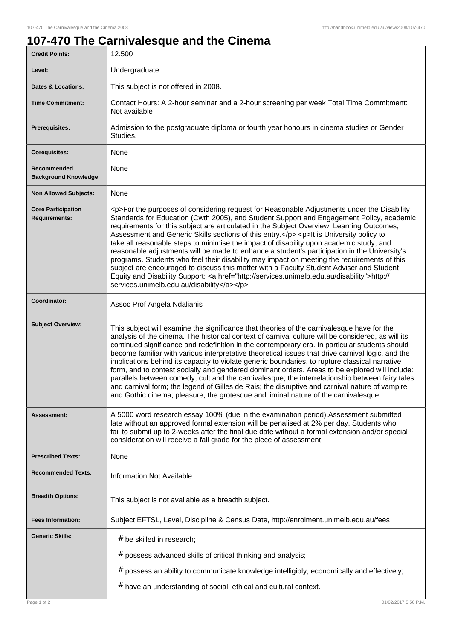## **107-470 The Carnivalesque and the Cinema**

| <b>Credit Points:</b>                             | 12.500                                                                                                                                                                                                                                                                                                                                                                                                                                                                                                                                                                                                                                                                                                                                                                                                                                                                                                                       |
|---------------------------------------------------|------------------------------------------------------------------------------------------------------------------------------------------------------------------------------------------------------------------------------------------------------------------------------------------------------------------------------------------------------------------------------------------------------------------------------------------------------------------------------------------------------------------------------------------------------------------------------------------------------------------------------------------------------------------------------------------------------------------------------------------------------------------------------------------------------------------------------------------------------------------------------------------------------------------------------|
| Level:                                            | Undergraduate                                                                                                                                                                                                                                                                                                                                                                                                                                                                                                                                                                                                                                                                                                                                                                                                                                                                                                                |
| <b>Dates &amp; Locations:</b>                     | This subject is not offered in 2008.                                                                                                                                                                                                                                                                                                                                                                                                                                                                                                                                                                                                                                                                                                                                                                                                                                                                                         |
| <b>Time Commitment:</b>                           | Contact Hours: A 2-hour seminar and a 2-hour screening per week Total Time Commitment:<br>Not available                                                                                                                                                                                                                                                                                                                                                                                                                                                                                                                                                                                                                                                                                                                                                                                                                      |
| Prerequisites:                                    | Admission to the postgraduate diploma or fourth year honours in cinema studies or Gender<br>Studies.                                                                                                                                                                                                                                                                                                                                                                                                                                                                                                                                                                                                                                                                                                                                                                                                                         |
| <b>Corequisites:</b>                              | None                                                                                                                                                                                                                                                                                                                                                                                                                                                                                                                                                                                                                                                                                                                                                                                                                                                                                                                         |
| Recommended<br><b>Background Knowledge:</b>       | None                                                                                                                                                                                                                                                                                                                                                                                                                                                                                                                                                                                                                                                                                                                                                                                                                                                                                                                         |
| <b>Non Allowed Subjects:</b>                      | None                                                                                                                                                                                                                                                                                                                                                                                                                                                                                                                                                                                                                                                                                                                                                                                                                                                                                                                         |
| <b>Core Participation</b><br><b>Requirements:</b> | <p>For the purposes of considering request for Reasonable Adjustments under the Disability<br/>Standards for Education (Cwth 2005), and Student Support and Engagement Policy, academic<br/>requirements for this subject are articulated in the Subject Overview, Learning Outcomes,<br/>Assessment and Generic Skills sections of this entry.</p> <p>lt is University policy to<br/>take all reasonable steps to minimise the impact of disability upon academic study, and<br/>reasonable adjustments will be made to enhance a student's participation in the University's<br/>programs. Students who feel their disability may impact on meeting the requirements of this<br/>subject are encouraged to discuss this matter with a Faculty Student Adviser and Student<br/>Equity and Disability Support: &lt; a href="http://services.unimelb.edu.au/disability"&gt;http://<br/>services.unimelb.edu.au/disability</p> |
| Coordinator:                                      | Assoc Prof Angela Ndalianis                                                                                                                                                                                                                                                                                                                                                                                                                                                                                                                                                                                                                                                                                                                                                                                                                                                                                                  |
| <b>Subject Overview:</b>                          | This subject will examine the significance that theories of the carnivalesque have for the<br>analysis of the cinema. The historical context of carnival culture will be considered, as will its<br>continued significance and redefinition in the contemporary era. In particular students should<br>become familiar with various interpretative theoretical issues that drive carnival logic, and the<br>implications behind its capacity to violate generic boundaries, to rupture classical narrative<br>form, and to contest socially and gendered dominant orders. Areas to be explored will include:<br>parallels between comedy, cult and the carnivalesque; the interrelationship between fairy tales<br>and carnival form; the legend of Gilles de Rais; the disruptive and carnival nature of vampire<br>and Gothic cinema; pleasure, the grotesque and liminal nature of the carnivalesque.                      |
| <b>Assessment:</b>                                | A 5000 word research essay 100% (due in the examination period). Assessment submitted<br>late without an approved formal extension will be penalised at 2% per day. Students who<br>fail to submit up to 2-weeks after the final due date without a formal extension and/or special<br>consideration will receive a fail grade for the piece of assessment.                                                                                                                                                                                                                                                                                                                                                                                                                                                                                                                                                                  |
| <b>Prescribed Texts:</b>                          | None                                                                                                                                                                                                                                                                                                                                                                                                                                                                                                                                                                                                                                                                                                                                                                                                                                                                                                                         |
| <b>Recommended Texts:</b>                         | <b>Information Not Available</b>                                                                                                                                                                                                                                                                                                                                                                                                                                                                                                                                                                                                                                                                                                                                                                                                                                                                                             |
| <b>Breadth Options:</b>                           | This subject is not available as a breadth subject.                                                                                                                                                                                                                                                                                                                                                                                                                                                                                                                                                                                                                                                                                                                                                                                                                                                                          |
| <b>Fees Information:</b>                          | Subject EFTSL, Level, Discipline & Census Date, http://enrolment.unimelb.edu.au/fees                                                                                                                                                                                                                                                                                                                                                                                                                                                                                                                                                                                                                                                                                                                                                                                                                                         |
| <b>Generic Skills:</b>                            | # be skilled in research;                                                                                                                                                                                                                                                                                                                                                                                                                                                                                                                                                                                                                                                                                                                                                                                                                                                                                                    |
|                                                   | # possess advanced skills of critical thinking and analysis;                                                                                                                                                                                                                                                                                                                                                                                                                                                                                                                                                                                                                                                                                                                                                                                                                                                                 |
|                                                   | possess an ability to communicate knowledge intelligibly, economically and effectively;<br>#                                                                                                                                                                                                                                                                                                                                                                                                                                                                                                                                                                                                                                                                                                                                                                                                                                 |
|                                                   | # have an understanding of social, ethical and cultural context.                                                                                                                                                                                                                                                                                                                                                                                                                                                                                                                                                                                                                                                                                                                                                                                                                                                             |
| Page 1 of 2                                       | 01/02/2017 5:56 P.M.                                                                                                                                                                                                                                                                                                                                                                                                                                                                                                                                                                                                                                                                                                                                                                                                                                                                                                         |